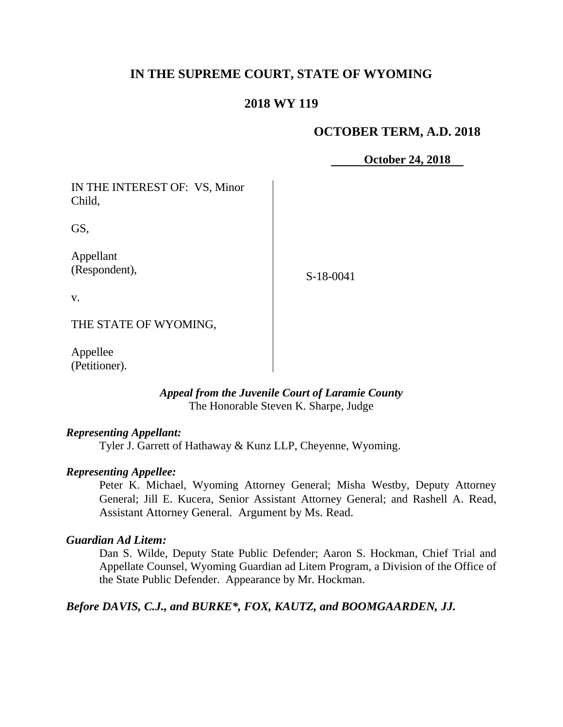# **IN THE SUPREME COURT, STATE OF WYOMING**

# **2018 WY 119**

#### **OCTOBER TERM, A.D. 2018**

**October 24, 2018**

IN THE INTEREST OF: VS, Minor Child,

GS,

Appellant (Respondent),

S-18-0041

v.

THE STATE OF WYOMING,

Appellee (Petitioner).

> *Appeal from the Juvenile Court of Laramie County* The Honorable Steven K. Sharpe, Judge

#### *Representing Appellant:*

Tyler J. Garrett of Hathaway & Kunz LLP, Cheyenne, Wyoming.

#### *Representing Appellee:*

Peter K. Michael, Wyoming Attorney General; Misha Westby, Deputy Attorney General; Jill E. Kucera, Senior Assistant Attorney General; and Rashell A. Read, Assistant Attorney General. Argument by Ms. Read.

#### *Guardian Ad Litem:*

Dan S. Wilde, Deputy State Public Defender; Aaron S. Hockman, Chief Trial and Appellate Counsel, Wyoming Guardian ad Litem Program, a Division of the Office of the State Public Defender. Appearance by Mr. Hockman.

*Before DAVIS, C.J., and BURKE\*, FOX, KAUTZ, and BOOMGAARDEN, JJ.*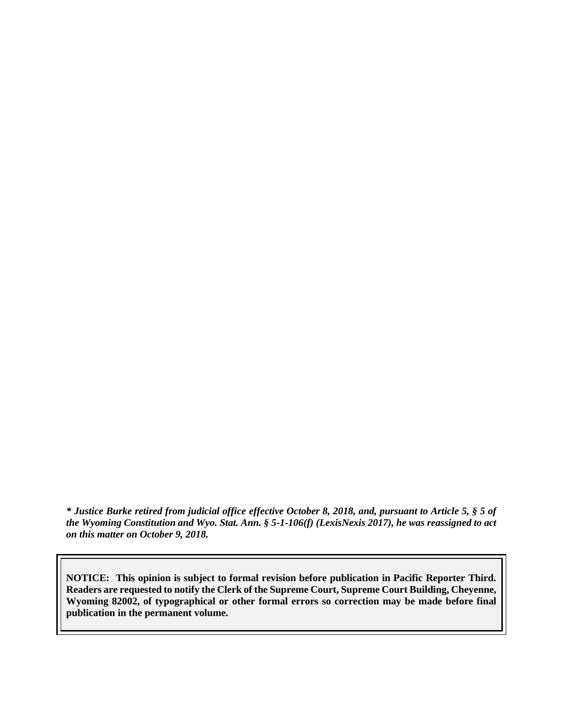*\* Justice Burke retired from judicial office effective October 8, 2018, and, pursuant to Article 5, § 5 of the Wyoming Constitution and Wyo. Stat. Ann. § 5-1-106(f) (LexisNexis 2017), he was reassigned to act on this matter on October 9, 2018.*

**NOTICE: This opinion is subject to formal revision before publication in Pacific Reporter Third. Readers are requested to notify the Clerk of the Supreme Court, Supreme Court Building, Cheyenne, Wyoming 82002, of typographical or other formal errors so correction may be made before final publication in the permanent volume.**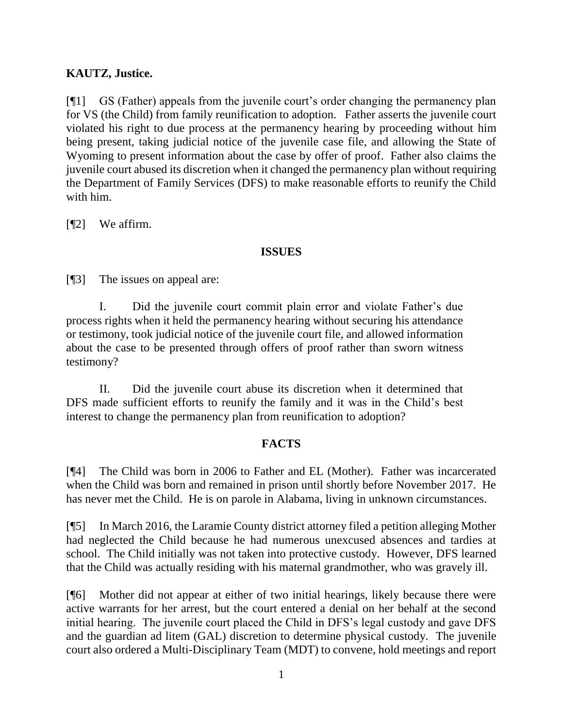# **KAUTZ, Justice.**

[¶1] GS (Father) appeals from the juvenile court's order changing the permanency plan for VS (the Child) from family reunification to adoption. Father asserts the juvenile court violated his right to due process at the permanency hearing by proceeding without him being present, taking judicial notice of the juvenile case file, and allowing the State of Wyoming to present information about the case by offer of proof. Father also claims the juvenile court abused its discretion when it changed the permanency plan without requiring the Department of Family Services (DFS) to make reasonable efforts to reunify the Child with him.

[¶2] We affirm.

# **ISSUES**

[¶3] The issues on appeal are:

I. Did the juvenile court commit plain error and violate Father's due process rights when it held the permanency hearing without securing his attendance or testimony, took judicial notice of the juvenile court file, and allowed information about the case to be presented through offers of proof rather than sworn witness testimony?

II. Did the juvenile court abuse its discretion when it determined that DFS made sufficient efforts to reunify the family and it was in the Child's best interest to change the permanency plan from reunification to adoption?

# **FACTS**

[¶4] The Child was born in 2006 to Father and EL (Mother). Father was incarcerated when the Child was born and remained in prison until shortly before November 2017. He has never met the Child. He is on parole in Alabama, living in unknown circumstances.

[¶5] In March 2016, the Laramie County district attorney filed a petition alleging Mother had neglected the Child because he had numerous unexcused absences and tardies at school. The Child initially was not taken into protective custody. However, DFS learned that the Child was actually residing with his maternal grandmother, who was gravely ill.

[¶6] Mother did not appear at either of two initial hearings, likely because there were active warrants for her arrest, but the court entered a denial on her behalf at the second initial hearing. The juvenile court placed the Child in DFS's legal custody and gave DFS and the guardian ad litem (GAL) discretion to determine physical custody. The juvenile court also ordered a Multi-Disciplinary Team (MDT) to convene, hold meetings and report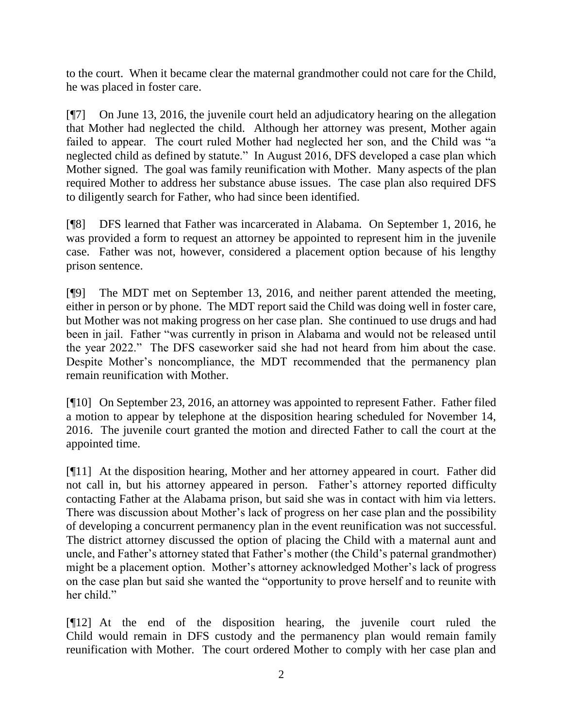to the court. When it became clear the maternal grandmother could not care for the Child, he was placed in foster care.

[¶7] On June 13, 2016, the juvenile court held an adjudicatory hearing on the allegation that Mother had neglected the child. Although her attorney was present, Mother again failed to appear. The court ruled Mother had neglected her son, and the Child was "a neglected child as defined by statute." In August 2016, DFS developed a case plan which Mother signed. The goal was family reunification with Mother. Many aspects of the plan required Mother to address her substance abuse issues. The case plan also required DFS to diligently search for Father, who had since been identified.

[¶8] DFS learned that Father was incarcerated in Alabama. On September 1, 2016, he was provided a form to request an attorney be appointed to represent him in the juvenile case. Father was not, however, considered a placement option because of his lengthy prison sentence.

[¶9] The MDT met on September 13, 2016, and neither parent attended the meeting, either in person or by phone. The MDT report said the Child was doing well in foster care, but Mother was not making progress on her case plan. She continued to use drugs and had been in jail. Father "was currently in prison in Alabama and would not be released until the year 2022." The DFS caseworker said she had not heard from him about the case. Despite Mother's noncompliance, the MDT recommended that the permanency plan remain reunification with Mother.

[¶10] On September 23, 2016, an attorney was appointed to represent Father. Father filed a motion to appear by telephone at the disposition hearing scheduled for November 14, 2016. The juvenile court granted the motion and directed Father to call the court at the appointed time.

[¶11] At the disposition hearing, Mother and her attorney appeared in court. Father did not call in, but his attorney appeared in person. Father's attorney reported difficulty contacting Father at the Alabama prison, but said she was in contact with him via letters. There was discussion about Mother's lack of progress on her case plan and the possibility of developing a concurrent permanency plan in the event reunification was not successful. The district attorney discussed the option of placing the Child with a maternal aunt and uncle, and Father's attorney stated that Father's mother (the Child's paternal grandmother) might be a placement option. Mother's attorney acknowledged Mother's lack of progress on the case plan but said she wanted the "opportunity to prove herself and to reunite with her child."

[¶12] At the end of the disposition hearing, the juvenile court ruled the Child would remain in DFS custody and the permanency plan would remain family reunification with Mother. The court ordered Mother to comply with her case plan and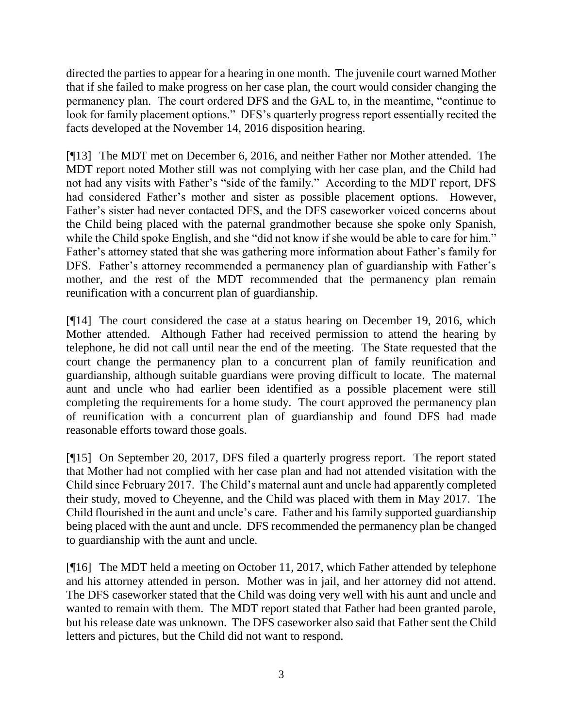directed the parties to appear for a hearing in one month. The juvenile court warned Mother that if she failed to make progress on her case plan, the court would consider changing the permanency plan. The court ordered DFS and the GAL to, in the meantime, "continue to look for family placement options." DFS's quarterly progress report essentially recited the facts developed at the November 14, 2016 disposition hearing.

[¶13] The MDT met on December 6, 2016, and neither Father nor Mother attended. The MDT report noted Mother still was not complying with her case plan, and the Child had not had any visits with Father's "side of the family." According to the MDT report, DFS had considered Father's mother and sister as possible placement options. However, Father's sister had never contacted DFS, and the DFS caseworker voiced concerns about the Child being placed with the paternal grandmother because she spoke only Spanish, while the Child spoke English, and she "did not know if she would be able to care for him." Father's attorney stated that she was gathering more information about Father's family for DFS. Father's attorney recommended a permanency plan of guardianship with Father's mother, and the rest of the MDT recommended that the permanency plan remain reunification with a concurrent plan of guardianship.

[¶14] The court considered the case at a status hearing on December 19, 2016, which Mother attended. Although Father had received permission to attend the hearing by telephone, he did not call until near the end of the meeting. The State requested that the court change the permanency plan to a concurrent plan of family reunification and guardianship, although suitable guardians were proving difficult to locate. The maternal aunt and uncle who had earlier been identified as a possible placement were still completing the requirements for a home study. The court approved the permanency plan of reunification with a concurrent plan of guardianship and found DFS had made reasonable efforts toward those goals.

[¶15] On September 20, 2017, DFS filed a quarterly progress report. The report stated that Mother had not complied with her case plan and had not attended visitation with the Child since February 2017. The Child's maternal aunt and uncle had apparently completed their study, moved to Cheyenne, and the Child was placed with them in May 2017. The Child flourished in the aunt and uncle's care. Father and his family supported guardianship being placed with the aunt and uncle. DFS recommended the permanency plan be changed to guardianship with the aunt and uncle.

[¶16] The MDT held a meeting on October 11, 2017, which Father attended by telephone and his attorney attended in person. Mother was in jail, and her attorney did not attend. The DFS caseworker stated that the Child was doing very well with his aunt and uncle and wanted to remain with them. The MDT report stated that Father had been granted parole, but his release date was unknown. The DFS caseworker also said that Father sent the Child letters and pictures, but the Child did not want to respond.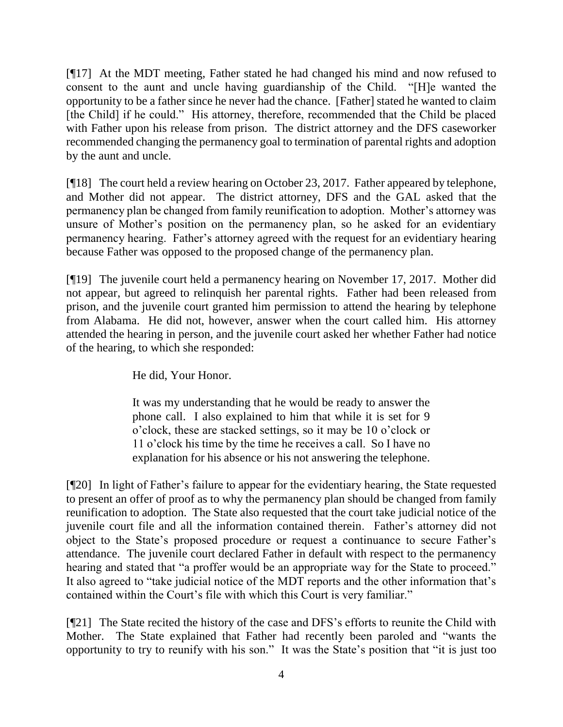[¶17] At the MDT meeting, Father stated he had changed his mind and now refused to consent to the aunt and uncle having guardianship of the Child. "[H]e wanted the opportunity to be a father since he never had the chance. [Father] stated he wanted to claim [the Child] if he could." His attorney, therefore, recommended that the Child be placed with Father upon his release from prison. The district attorney and the DFS caseworker recommended changing the permanency goal to termination of parental rights and adoption by the aunt and uncle.

[¶18] The court held a review hearing on October 23, 2017. Father appeared by telephone, and Mother did not appear. The district attorney, DFS and the GAL asked that the permanency plan be changed from family reunification to adoption. Mother's attorney was unsure of Mother's position on the permanency plan, so he asked for an evidentiary permanency hearing. Father's attorney agreed with the request for an evidentiary hearing because Father was opposed to the proposed change of the permanency plan.

[¶19] The juvenile court held a permanency hearing on November 17, 2017. Mother did not appear, but agreed to relinquish her parental rights. Father had been released from prison, and the juvenile court granted him permission to attend the hearing by telephone from Alabama. He did not, however, answer when the court called him. His attorney attended the hearing in person, and the juvenile court asked her whether Father had notice of the hearing, to which she responded:

He did, Your Honor.

It was my understanding that he would be ready to answer the phone call. I also explained to him that while it is set for 9 o'clock, these are stacked settings, so it may be 10 o'clock or 11 o'clock his time by the time he receives a call. So I have no explanation for his absence or his not answering the telephone.

[¶20] In light of Father's failure to appear for the evidentiary hearing, the State requested to present an offer of proof as to why the permanency plan should be changed from family reunification to adoption. The State also requested that the court take judicial notice of the juvenile court file and all the information contained therein. Father's attorney did not object to the State's proposed procedure or request a continuance to secure Father's attendance. The juvenile court declared Father in default with respect to the permanency hearing and stated that "a proffer would be an appropriate way for the State to proceed." It also agreed to "take judicial notice of the MDT reports and the other information that's contained within the Court's file with which this Court is very familiar."

[¶21] The State recited the history of the case and DFS's efforts to reunite the Child with Mother. The State explained that Father had recently been paroled and "wants the opportunity to try to reunify with his son." It was the State's position that "it is just too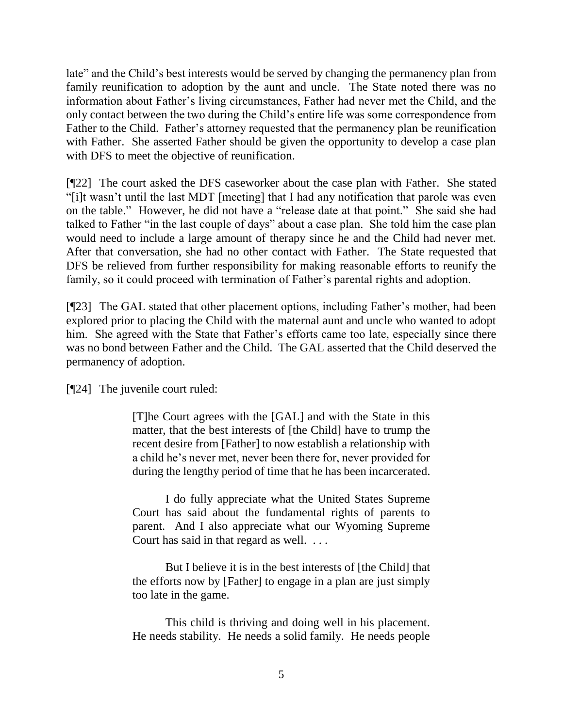late" and the Child's best interests would be served by changing the permanency plan from family reunification to adoption by the aunt and uncle. The State noted there was no information about Father's living circumstances, Father had never met the Child, and the only contact between the two during the Child's entire life was some correspondence from Father to the Child. Father's attorney requested that the permanency plan be reunification with Father. She asserted Father should be given the opportunity to develop a case plan with DFS to meet the objective of reunification.

[¶22] The court asked the DFS caseworker about the case plan with Father. She stated "[i]t wasn't until the last MDT [meeting] that I had any notification that parole was even on the table." However, he did not have a "release date at that point." She said she had talked to Father "in the last couple of days" about a case plan. She told him the case plan would need to include a large amount of therapy since he and the Child had never met. After that conversation, she had no other contact with Father. The State requested that DFS be relieved from further responsibility for making reasonable efforts to reunify the family, so it could proceed with termination of Father's parental rights and adoption.

[¶23] The GAL stated that other placement options, including Father's mother, had been explored prior to placing the Child with the maternal aunt and uncle who wanted to adopt him. She agreed with the State that Father's efforts came too late, especially since there was no bond between Father and the Child. The GAL asserted that the Child deserved the permanency of adoption.

[¶24] The juvenile court ruled:

[T]he Court agrees with the [GAL] and with the State in this matter, that the best interests of [the Child] have to trump the recent desire from [Father] to now establish a relationship with a child he's never met, never been there for, never provided for during the lengthy period of time that he has been incarcerated.

I do fully appreciate what the United States Supreme Court has said about the fundamental rights of parents to parent. And I also appreciate what our Wyoming Supreme Court has said in that regard as well. . . .

But I believe it is in the best interests of [the Child] that the efforts now by [Father] to engage in a plan are just simply too late in the game.

This child is thriving and doing well in his placement. He needs stability. He needs a solid family. He needs people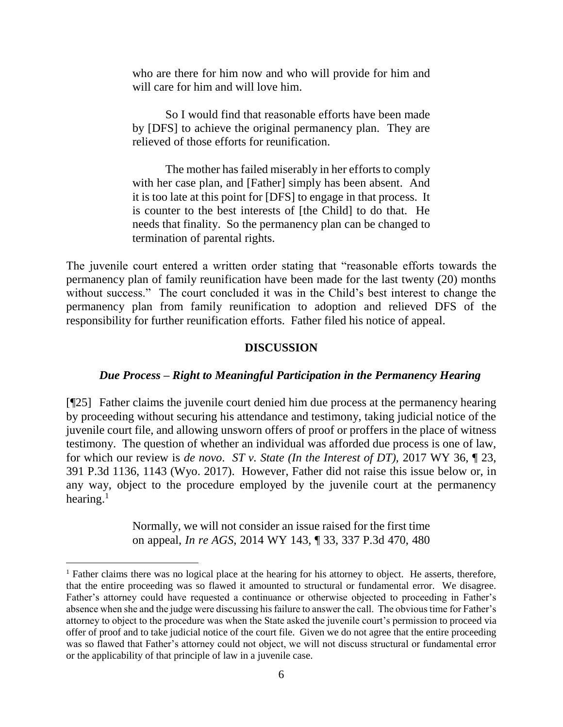who are there for him now and who will provide for him and will care for him and will love him.

So I would find that reasonable efforts have been made by [DFS] to achieve the original permanency plan. They are relieved of those efforts for reunification.

The mother has failed miserably in her efforts to comply with her case plan, and [Father] simply has been absent. And it is too late at this point for [DFS] to engage in that process. It is counter to the best interests of [the Child] to do that. He needs that finality. So the permanency plan can be changed to termination of parental rights.

The juvenile court entered a written order stating that "reasonable efforts towards the permanency plan of family reunification have been made for the last twenty (20) months without success." The court concluded it was in the Child's best interest to change the permanency plan from family reunification to adoption and relieved DFS of the responsibility for further reunification efforts. Father filed his notice of appeal.

#### **DISCUSSION**

# *Due Process – Right to Meaningful Participation in the Permanency Hearing*

[¶25] Father claims the juvenile court denied him due process at the permanency hearing by proceeding without securing his attendance and testimony, taking judicial notice of the juvenile court file, and allowing unsworn offers of proof or proffers in the place of witness testimony. The question of whether an individual was afforded due process is one of law, for which our review is *de novo*. *ST v. State (In the Interest of DT),* 2017 WY 36, ¶ 23, 391 P.3d 1136, 1143 (Wyo. 2017). However, Father did not raise this issue below or, in any way, object to the procedure employed by the juvenile court at the permanency hearing.<sup>1</sup>

> Normally, we will not consider an issue raised for the first time on appeal, *In re AGS*[, 2014 WY 143, ¶ 33, 337 P.3d 470, 480](http://www.westlaw.com/Link/Document/FullText?findType=Y&serNum=2034751059&pubNum=0004645&originatingDoc=Ib4d8563091f211e8a064bbcf25cb9a66&refType=RP&fi=co_pp_sp_4645_480&originationContext=document&vr=3.0&rs=cblt1.0&transitionType=DocumentItem&contextData=(sc.UserEnteredCitation)#co_pp_sp_4645_480)

<sup>&</sup>lt;sup>1</sup> Father claims there was no logical place at the hearing for his attorney to object. He asserts, therefore, that the entire proceeding was so flawed it amounted to structural or fundamental error. We disagree. Father's attorney could have requested a continuance or otherwise objected to proceeding in Father's absence when she and the judge were discussing his failure to answer the call. The obvious time for Father's attorney to object to the procedure was when the State asked the juvenile court's permission to proceed via offer of proof and to take judicial notice of the court file. Given we do not agree that the entire proceeding was so flawed that Father's attorney could not object, we will not discuss structural or fundamental error or the applicability of that principle of law in a juvenile case.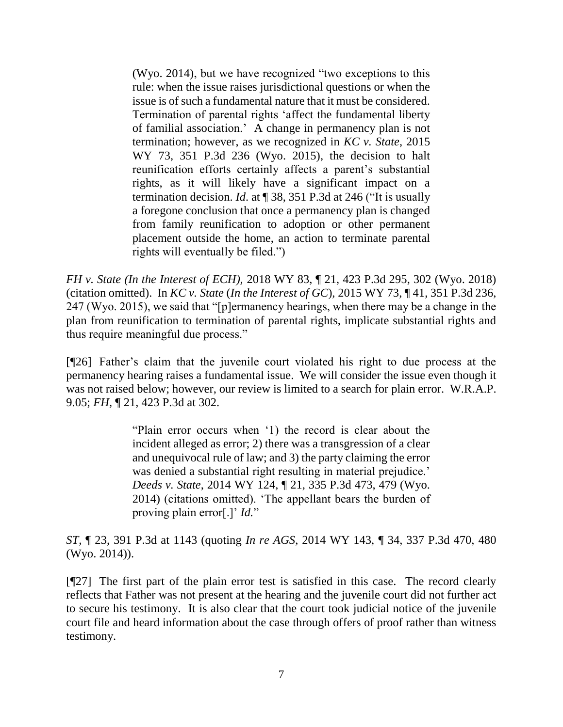[\(Wyo. 2014\),](http://www.westlaw.com/Link/Document/FullText?findType=Y&serNum=2034751059&pubNum=0004645&originatingDoc=Ib4d8563091f211e8a064bbcf25cb9a66&refType=RP&fi=co_pp_sp_4645_480&originationContext=document&vr=3.0&rs=cblt1.0&transitionType=DocumentItem&contextData=(sc.UserEnteredCitation)#co_pp_sp_4645_480) but we have recognized "two exceptions to this rule: when the issue raises jurisdictional questions or when the issue is of such a fundamental nature that it must be considered. Termination of parental rights 'affect the fundamental liberty of familial association.' A change in permanency plan is not termination; however, as we recognized in *[KC v. State](http://www.westlaw.com/Link/Document/FullText?findType=Y&serNum=2036314137&pubNum=0004645&originatingDoc=Ib4d8563091f211e8a064bbcf25cb9a66&refType=RP&originationContext=document&vr=3.0&rs=cblt1.0&transitionType=DocumentItem&contextData=(sc.UserEnteredCitation))*, 2015 [WY 73, 351 P.3d 236 \(Wyo. 2015\),](http://www.westlaw.com/Link/Document/FullText?findType=Y&serNum=2036314137&pubNum=0004645&originatingDoc=Ib4d8563091f211e8a064bbcf25cb9a66&refType=RP&originationContext=document&vr=3.0&rs=cblt1.0&transitionType=DocumentItem&contextData=(sc.UserEnteredCitation)) the decision to halt reunification efforts certainly affects a parent's substantial rights, as it will likely have a significant impact on a termination decision. *Id*[. at ¶ 38, 351 P.3d at 246](http://www.westlaw.com/Link/Document/FullText?findType=Y&serNum=2036314137&pubNum=0006431&originatingDoc=Ib4d8563091f211e8a064bbcf25cb9a66&refType=RP&fi=co_pp_sp_6431_246&originationContext=document&vr=3.0&rs=cblt1.0&transitionType=DocumentItem&contextData=(sc.UserEnteredCitation)#co_pp_sp_6431_246) ("It is usually a foregone conclusion that once a permanency plan is changed from family reunification to adoption or other permanent placement outside the home, an action to terminate parental rights will eventually be filed.")

*FH v. State (In the Interest of ECH),* 2018 WY 83, ¶ 21, 423 P.3d 295, 302 (Wyo. 2018) (citation omitted). In *KC v. State* (*In the Interest of GC*)*,* 2015 WY 73, ¶ 41, 351 P.3d 236, 247 (Wyo. 2015), we said that "[p]ermanency hearings, when there may be a change in the plan from reunification to termination of parental rights, implicate substantial rights and thus require meaningful due process."

[¶26] Father's claim that the juvenile court violated his right to due process at the permanency hearing raises a fundamental issue. We will consider the issue even though it was not raised below; however, our review is limited to a search for plain error. W.R.A.P. 9.05; *FH,* ¶ 21, 423 P.3d at 302.

> "Plain error occurs when '1) the record is clear about the incident alleged as error; 2) there was a transgression of a clear and unequivocal rule of law; and 3) the party claiming the error was denied a substantial right resulting in material prejudice.' *Deeds v. State*[, 2014 WY 124, ¶ 21, 335 P.3d 473, 479 \(Wyo.](http://www.westlaw.com/Link/Document/FullText?findType=Y&serNum=2034508550&pubNum=0004645&originatingDoc=Ie2f1f7701ac411e78e18865f4d27462d&refType=RP&fi=co_pp_sp_4645_479&originationContext=document&vr=3.0&rs=cblt1.0&transitionType=DocumentItem&contextData=(sc.UserEnteredCitation)#co_pp_sp_4645_479)  [2014\)](http://www.westlaw.com/Link/Document/FullText?findType=Y&serNum=2034508550&pubNum=0004645&originatingDoc=Ie2f1f7701ac411e78e18865f4d27462d&refType=RP&fi=co_pp_sp_4645_479&originationContext=document&vr=3.0&rs=cblt1.0&transitionType=DocumentItem&contextData=(sc.UserEnteredCitation)#co_pp_sp_4645_479) (citations omitted). 'The appellant bears the burden of proving plain error[.]' *[Id.](http://www.westlaw.com/Link/Document/FullText?findType=Y&serNum=2034508550&pubNum=0006431&originatingDoc=Ie2f1f7701ac411e78e18865f4d27462d&refType=RP&originationContext=document&vr=3.0&rs=cblt1.0&transitionType=DocumentItem&contextData=(sc.UserEnteredCitation))*"

*ST,* ¶ 23, 391 P.3d at 1143 (quoting *In re AGS*[, 2014 WY 143, ¶ 34, 337 P.3d 470, 480](http://www.westlaw.com/Link/Document/FullText?findType=Y&serNum=2034751059&pubNum=0004645&originatingDoc=Ie2f1f7701ac411e78e18865f4d27462d&refType=RP&fi=co_pp_sp_4645_480&originationContext=document&vr=3.0&rs=cblt1.0&transitionType=DocumentItem&contextData=(sc.UserEnteredCitation)#co_pp_sp_4645_480) (Wyo. 2014)).

[¶27] The first part of the plain error test is satisfied in this case. The record clearly reflects that Father was not present at the hearing and the juvenile court did not further act to secure his testimony. It is also clear that the court took judicial notice of the juvenile court file and heard information about the case through offers of proof rather than witness testimony.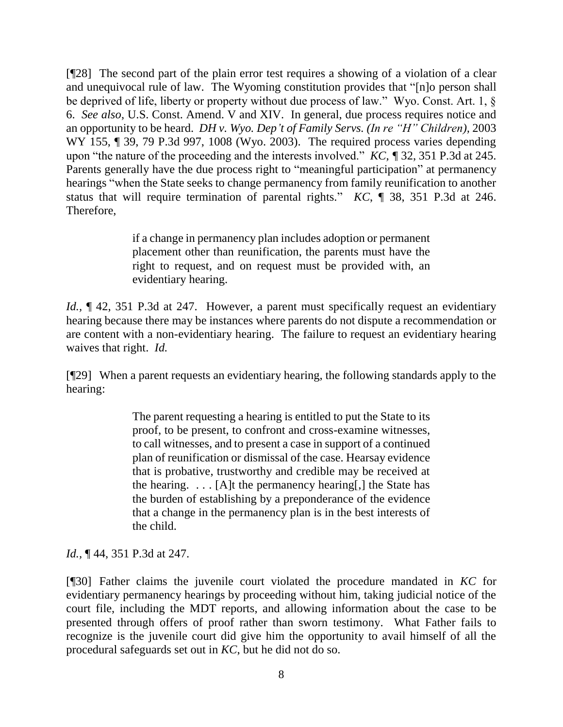[¶28] The second part of the plain error test requires a showing of a violation of a clear and unequivocal rule of law. The Wyoming constitution provides that "[n]o person shall be deprived of life, liberty or property without due process of law." Wyo. Const. Art. 1, § 6. *See also*, U.S. Const. Amend. V and XIV. In general, due process requires notice and an opportunity to be heard. *DH v. Wyo. Dep't of Family Servs. (In re "H" Children),* 2003 WY 155, ¶ 39, 79 P.3d 997, 1008 (Wyo. 2003). The required process varies depending upon "the nature of the proceeding and the interests involved." *KC, ¶* 32, 351 P.3d at 245. Parents generally have the due process right to "meaningful participation" at permanency hearings "when the State seeks to change permanency from family reunification to another status that will require termination of parental rights." *KC*, ¶ 38, 351 P.3d at 246. Therefore,

> if a change in permanency plan includes adoption or permanent placement other than reunification, the parents must have the right to request, and on request must be provided with, an evidentiary hearing.

*Id.*, **[42, 351 P.3d at 247.** However, a parent must specifically request an evidentiary hearing because there may be instances where parents do not dispute a recommendation or are content with a non-evidentiary hearing. The failure to request an evidentiary hearing waives that right. *Id.*

[¶29] When a parent requests an evidentiary hearing, the following standards apply to the hearing:

> The parent requesting a hearing is entitled to put the State to its proof, to be present, to confront and cross-examine witnesses, to call witnesses, and to present a case in support of a continued plan of reunification or dismissal of the case. Hearsay evidence that is probative, trustworthy and credible may be received at the hearing.  $\ldots$  [A]t the permanency hearing[,] the State has the burden of establishing by a preponderance of the evidence that a change in the permanency plan is in the best interests of the child.

*Id.,* ¶ 44, 351 P.3d at 247.

[¶30] Father claims the juvenile court violated the procedure mandated in *KC* for evidentiary permanency hearings by proceeding without him, taking judicial notice of the court file, including the MDT reports, and allowing information about the case to be presented through offers of proof rather than sworn testimony. What Father fails to recognize is the juvenile court did give him the opportunity to avail himself of all the procedural safeguards set out in *KC*, but he did not do so.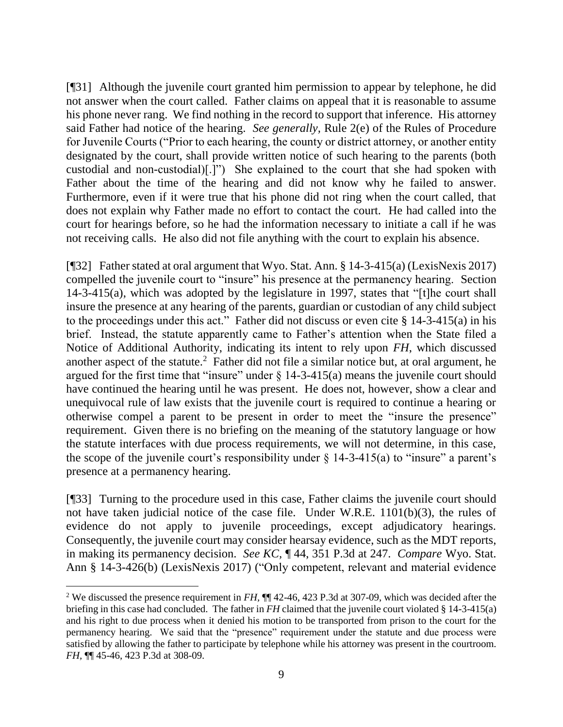[¶31] Although the juvenile court granted him permission to appear by telephone, he did not answer when the court called. Father claims on appeal that it is reasonable to assume his phone never rang. We find nothing in the record to support that inference. His attorney said Father had notice of the hearing. *See generally,* Rule 2(e) of the Rules of Procedure for Juvenile Courts ("Prior to each hearing, the county or district attorney, or another entity designated by the court, shall provide written notice of such hearing to the parents (both custodial and non-custodial)[.]") She explained to the court that she had spoken with Father about the time of the hearing and did not know why he failed to answer. Furthermore, even if it were true that his phone did not ring when the court called, that does not explain why Father made no effort to contact the court. He had called into the court for hearings before, so he had the information necessary to initiate a call if he was not receiving calls. He also did not file anything with the court to explain his absence.

[¶32] Father stated at oral argument that Wyo. Stat. Ann. § 14-3-415(a) (LexisNexis 2017) compelled the juvenile court to "insure" his presence at the permanency hearing. Section 14-3-415(a), which was adopted by the legislature in 1997, states that "[t]he court shall insure the presence at any hearing of the parents, guardian or custodian of any child subject to the proceedings under this act." Father did not discuss or even cite § 14-3-415(a) in his brief. Instead, the statute apparently came to Father's attention when the State filed a Notice of Additional Authority, indicating its intent to rely upon *FH*, which discussed another aspect of the statute.<sup>2</sup> Father did not file a similar notice but, at oral argument, he argued for the first time that "insure" under  $\S$  14-3-415(a) means the juvenile court should have continued the hearing until he was present. He does not, however, show a clear and unequivocal rule of law exists that the juvenile court is required to continue a hearing or otherwise compel a parent to be present in order to meet the "insure the presence" requirement. Given there is no briefing on the meaning of the statutory language or how the statute interfaces with due process requirements, we will not determine, in this case, the scope of the juvenile court's responsibility under  $\S$  14-3-415(a) to "insure" a parent's presence at a permanency hearing.

[¶33] Turning to the procedure used in this case, Father claims the juvenile court should not have taken judicial notice of the case file. Under W.R.E. 1101(b)(3), the rules of evidence do not apply to juvenile proceedings, except adjudicatory hearings. Consequently, the juvenile court may consider hearsay evidence, such as the MDT reports, in making its permanency decision. *See KC,* ¶ 44, 351 P.3d at 247. *Compare* Wyo. Stat. Ann § 14-3-426(b) (LexisNexis 2017) ("Only competent, relevant and material evidence

 $\overline{a}$ <sup>2</sup> We discussed the presence requirement in *FH,* ¶¶ 42-46, 423 P.3d at 307-09, which was decided after the briefing in this case had concluded. The father in *FH* claimed that the juvenile court violated § 14-3-415(a) and his right to due process when it denied his motion to be transported from prison to the court for the permanency hearing. We said that the "presence" requirement under the statute and due process were satisfied by allowing the father to participate by telephone while his attorney was present in the courtroom. *FH,* ¶¶ 45-46, 423 P.3d at 308-09.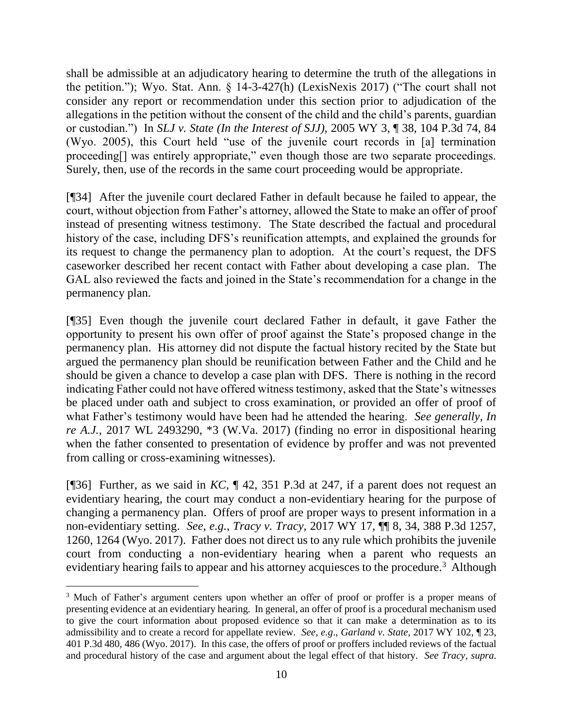shall be admissible at an adjudicatory hearing to determine the truth of the allegations in the petition."); Wyo. Stat. Ann. § 14-3-427(h) (LexisNexis 2017) ("The court shall not consider any report or recommendation under this section prior to adjudication of the allegations in the petition without the consent of the child and the child's parents, guardian or custodian.") In *SLJ v. State (In the Interest of SJJ),* 2005 WY 3, ¶ 38, 104 P.3d 74, 84 (Wyo. 2005), this Court held "use of the juvenile court records in [a] termination proceeding[] was entirely appropriate," even though those are two separate proceedings. Surely, then, use of the records in the same court proceeding would be appropriate.

[¶34] After the juvenile court declared Father in default because he failed to appear, the court, without objection from Father's attorney, allowed the State to make an offer of proof instead of presenting witness testimony. The State described the factual and procedural history of the case, including DFS's reunification attempts, and explained the grounds for its request to change the permanency plan to adoption. At the court's request, the DFS caseworker described her recent contact with Father about developing a case plan. The GAL also reviewed the facts and joined in the State's recommendation for a change in the permanency plan.

[¶35] Even though the juvenile court declared Father in default, it gave Father the opportunity to present his own offer of proof against the State's proposed change in the permanency plan. His attorney did not dispute the factual history recited by the State but argued the permanency plan should be reunification between Father and the Child and he should be given a chance to develop a case plan with DFS. There is nothing in the record indicating Father could not have offered witness testimony, asked that the State's witnesses be placed under oath and subject to cross examination, or provided an offer of proof of what Father's testimony would have been had he attended the hearing. *See generally, In re A.J.,* 2017 WL 2493290, \*3 (W.Va. 2017) (finding no error in dispositional hearing when the father consented to presentation of evidence by proffer and was not prevented from calling or cross-examining witnesses).

[¶36] Further, as we said in *KC,* ¶ 42, 351 P.3d at 247, if a parent does not request an evidentiary hearing, the court may conduct a non-evidentiary hearing for the purpose of changing a permanency plan. Offers of proof are proper ways to present information in a non-evidentiary setting. *See, e.g.*, *Tracy v. Tracy,* 2017 WY 17, ¶¶ 8, 34, 388 P.3d 1257, 1260, 1264 (Wyo. 2017). Father does not direct us to any rule which prohibits the juvenile court from conducting a non-evidentiary hearing when a parent who requests an evidentiary hearing fails to appear and his attorney acquiesces to the procedure.<sup>3</sup> Although

 $\overline{a}$ 

<sup>&</sup>lt;sup>3</sup> Much of Father's argument centers upon whether an offer of proof or proffer is a proper means of presenting evidence at an evidentiary hearing. In general, an offer of proof is a procedural mechanism used to give the court information about proposed evidence so that it can make a determination as to its admissibility and to create a record for appellate review. *See, e.g*., *Garland v. State,* 2017 WY 102, ¶ 23, 401 P.3d 480, 486 (Wyo. 2017). In this case, the offers of proof or proffers included reviews of the factual and procedural history of the case and argument about the legal effect of that history. *See Tracy, supra.*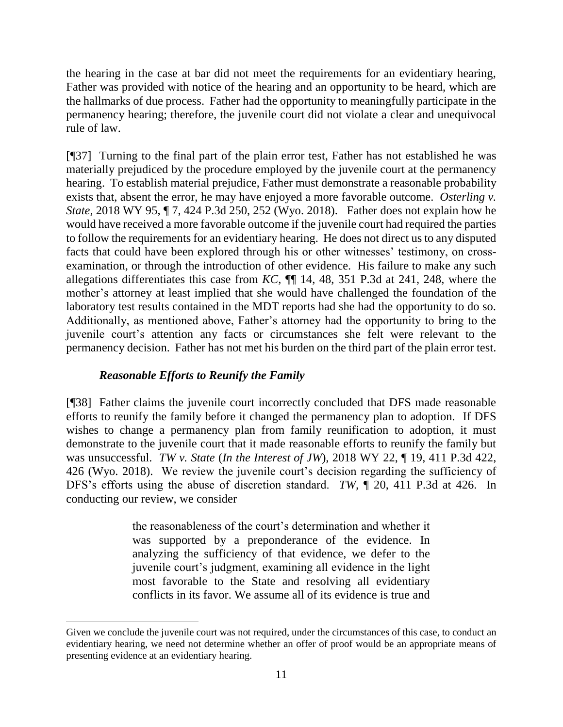the hearing in the case at bar did not meet the requirements for an evidentiary hearing, Father was provided with notice of the hearing and an opportunity to be heard, which are the hallmarks of due process. Father had the opportunity to meaningfully participate in the permanency hearing; therefore, the juvenile court did not violate a clear and unequivocal rule of law.

[¶37] Turning to the final part of the plain error test, Father has not established he was materially prejudiced by the procedure employed by the juvenile court at the permanency hearing. To establish material prejudice, Father must demonstrate a reasonable probability exists that, absent the error, he may have enjoyed a more favorable outcome. *Osterling v. State,* 2018 WY 95, ¶ 7, 424 P.3d 250, 252 (Wyo. 2018). Father does not explain how he would have received a more favorable outcome if the juvenile court had required the parties to follow the requirements for an evidentiary hearing. He does not direct us to any disputed facts that could have been explored through his or other witnesses' testimony, on crossexamination, or through the introduction of other evidence. His failure to make any such allegations differentiates this case from *KC,* ¶¶ 14, 48, 351 P.3d at 241, 248, where the mother's attorney at least implied that she would have challenged the foundation of the laboratory test results contained in the MDT reports had she had the opportunity to do so. Additionally, as mentioned above, Father's attorney had the opportunity to bring to the juvenile court's attention any facts or circumstances she felt were relevant to the permanency decision. Father has not met his burden on the third part of the plain error test.

# *Reasonable Efforts to Reunify the Family*

[¶38] Father claims the juvenile court incorrectly concluded that DFS made reasonable efforts to reunify the family before it changed the permanency plan to adoption. If DFS wishes to change a permanency plan from family reunification to adoption, it must demonstrate to the juvenile court that it made reasonable efforts to reunify the family but was unsuccessful. *TW v. State* (*In the Interest of JW*)*,* 2018 WY 22, ¶ 19, 411 P.3d 422, 426 (Wyo. 2018). We review the juvenile court's decision regarding the sufficiency of DFS's efforts using the abuse of discretion standard. *TW,* ¶ 20, 411 P.3d at 426. In conducting our review, we consider

> the reasonableness of the court's determination and whether it was supported by a preponderance of the evidence. In analyzing the sufficiency of that evidence, we defer to the juvenile court's judgment, examining all evidence in the light most favorable to the State and resolving all evidentiary conflicts in its favor. We assume all of its evidence is true and

Given we conclude the juvenile court was not required, under the circumstances of this case, to conduct an evidentiary hearing, we need not determine whether an offer of proof would be an appropriate means of presenting evidence at an evidentiary hearing.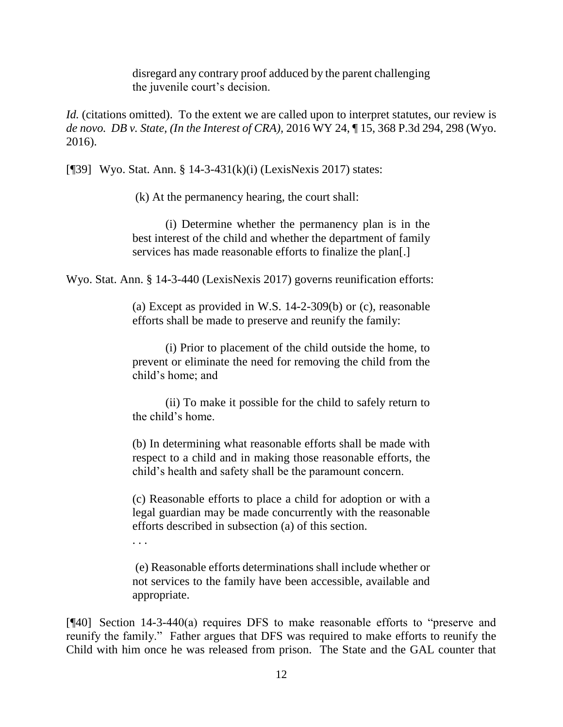disregard any contrary proof adduced by the parent challenging the juvenile court's decision.

*Id.* (citations omitted). To the extent we are called upon to interpret statutes, our review is *de novo. DB v. State, (In the Interest of CRA),* 2016 WY 24, ¶ 15, 368 P.3d 294, 298 (Wyo. 2016).

[¶39] Wyo. Stat. Ann. § 14-3-431(k)(i) (LexisNexis 2017) states:

(k) At the permanency hearing, the court shall:

(i) Determine whether the permanency plan is in the best interest of the child and whether the department of family services has made reasonable efforts to finalize the plan[.]

Wyo. Stat. Ann. § 14-3-440 (LexisNexis 2017) governs reunification efforts:

(a) Except as provided in [W.S. 14-2-309\(b\)](http://www.westlaw.com/Link/Document/FullText?findType=L&pubNum=1000377&cite=WYSTS14-2-309&originatingDoc=N06A7EB30131211DDB8F5DD96DFD6F109&refType=SP&originationContext=document&vr=3.0&rs=cblt1.0&transitionType=DocumentItem&contextData=(sc.UserEnteredCitation)#co_pp_a83b000018c76) or [\(c\),](http://www.westlaw.com/Link/Document/FullText?findType=L&pubNum=1000377&cite=WYSTS14-2-309&originatingDoc=N06A7EB30131211DDB8F5DD96DFD6F109&refType=SP&originationContext=document&vr=3.0&rs=cblt1.0&transitionType=DocumentItem&contextData=(sc.UserEnteredCitation)#co_pp_4b24000003ba5) reasonable efforts shall be made to preserve and reunify the family:

(i) Prior to placement of the child outside the home, to prevent or eliminate the need for removing the child from the child's home; and

(ii) To make it possible for the child to safely return to the child's home.

(b) In determining what reasonable efforts shall be made with respect to a child and in making those reasonable efforts, the child's health and safety shall be the paramount concern.

(c) Reasonable efforts to place a child for adoption or with a legal guardian may be made concurrently with the reasonable efforts described in subsection (a) of this section.

. . .

(e) Reasonable efforts determinations shall include whether or not services to the family have been accessible, available and appropriate.

[¶40] Section 14-3-440(a) requires DFS to make reasonable efforts to "preserve and reunify the family." Father argues that DFS was required to make efforts to reunify the Child with him once he was released from prison. The State and the GAL counter that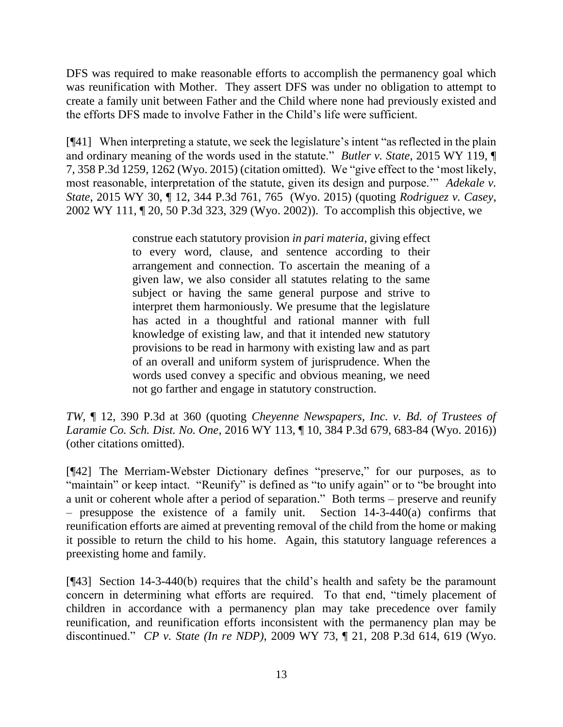DFS was required to make reasonable efforts to accomplish the permanency goal which was reunification with Mother. They assert DFS was under no obligation to attempt to create a family unit between Father and the Child where none had previously existed and the efforts DFS made to involve Father in the Child's life were sufficient.

[¶41] When interpreting a statute, we seek the legislature's intent "as reflected in the plain and ordinary meaning of the words used in the statute." *Butler v. State*[, 2015 WY 119, ¶](http://www.westlaw.com/Link/Document/FullText?findType=Y&serNum=2037151119&pubNum=0004645&originatingDoc=I1f973e90040611e7b28da5a53aeba485&refType=RP&fi=co_pp_sp_4645_1262&originationContext=document&vr=3.0&rs=cblt1.0&transitionType=DocumentItem&contextData=(sc.Search)#co_pp_sp_4645_1262)  [7, 358 P.3d 1259, 1262 \(Wyo. 2015\)](http://www.westlaw.com/Link/Document/FullText?findType=Y&serNum=2037151119&pubNum=0004645&originatingDoc=I1f973e90040611e7b28da5a53aeba485&refType=RP&fi=co_pp_sp_4645_1262&originationContext=document&vr=3.0&rs=cblt1.0&transitionType=DocumentItem&contextData=(sc.Search)#co_pp_sp_4645_1262) (citation omitted). We "give effect to the 'most likely, most reasonable, interpretation of the statute, given its design and purpose.'" *[Adekale](http://www.westlaw.com/Link/Document/FullText?findType=Y&serNum=2035504869&pubNum=0004645&originatingDoc=I1f973e90040611e7b28da5a53aeba485&refType=RP&fi=co_pp_sp_4645_765&originationContext=document&vr=3.0&rs=cblt1.0&transitionType=DocumentItem&contextData=(sc.Search)#co_pp_sp_4645_765) v. State*[, 2015 WY 30, ¶ 12, 344 P.3d 761, 765 \(Wyo. 2015\) \(](http://www.westlaw.com/Link/Document/FullText?findType=Y&serNum=2035504869&pubNum=0004645&originatingDoc=I1f973e90040611e7b28da5a53aeba485&refType=RP&fi=co_pp_sp_4645_765&originationContext=document&vr=3.0&rs=cblt1.0&transitionType=DocumentItem&contextData=(sc.Search)#co_pp_sp_4645_765)quoting *[Rodriguez v. Casey](http://www.westlaw.com/Link/Document/FullText?findType=Y&serNum=2002444621&pubNum=0004645&originatingDoc=I1f973e90040611e7b28da5a53aeba485&refType=RP&fi=co_pp_sp_4645_329&originationContext=document&vr=3.0&rs=cblt1.0&transitionType=DocumentItem&contextData=(sc.Search)#co_pp_sp_4645_329)*, [2002 WY 111, ¶ 20, 50 P.3d 323, 329 \(Wyo. 2002\)\)](http://www.westlaw.com/Link/Document/FullText?findType=Y&serNum=2002444621&pubNum=0004645&originatingDoc=I1f973e90040611e7b28da5a53aeba485&refType=RP&fi=co_pp_sp_4645_329&originationContext=document&vr=3.0&rs=cblt1.0&transitionType=DocumentItem&contextData=(sc.Search)#co_pp_sp_4645_329). To accomplish this objective, we

> construe each statutory provision *in pari materia*, giving effect to every word, clause, and sentence according to their arrangement and connection. To ascertain the meaning of a given law, we also consider all statutes relating to the same subject or having the same general purpose and strive to interpret them harmoniously. We presume that the legislature has acted in a thoughtful and rational manner with full knowledge of existing law, and that it intended new statutory provisions to be read in harmony with existing law and as part of an overall and uniform system of jurisprudence. When the words used convey a specific and obvious meaning, we need not go farther and engage in statutory construction.

*TW,* ¶ 12, 390 P.3d at 360 (quoting *[Cheyenne Newspapers, Inc. v. Bd. of Trustees of](http://www.westlaw.com/Link/Document/FullText?findType=Y&serNum=2040407863&pubNum=0004645&originatingDoc=I1f973e90040611e7b28da5a53aeba485&refType=RP&fi=co_pp_sp_4645_683&originationContext=document&vr=3.0&rs=cblt1.0&transitionType=DocumentItem&contextData=(sc.Search)#co_pp_sp_4645_683)  Laramie Co. Sch. Dist. No. One,* [2016 WY 113, ¶ 10, 384 P.3d 679, 683-84 \(Wyo. 2016\)\)](http://www.westlaw.com/Link/Document/FullText?findType=Y&serNum=2040407863&pubNum=0004645&originatingDoc=I1f973e90040611e7b28da5a53aeba485&refType=RP&fi=co_pp_sp_4645_683&originationContext=document&vr=3.0&rs=cblt1.0&transitionType=DocumentItem&contextData=(sc.Search)#co_pp_sp_4645_683) (other citations omitted).

[¶42] The Merriam-Webster Dictionary defines "preserve," for our purposes, as to "maintain" or keep intact. "Reunify" is defined as "to unify again" or to "be brought into a unit or coherent whole after a period of separation." Both terms – preserve and reunify – presuppose the existence of a family unit. Section 14-3-440(a) confirms that reunification efforts are aimed at preventing removal of the child from the home or making it possible to return the child to his home. Again, this statutory language references a preexisting home and family.

[¶43] Section 14-3-440(b) requires that the child's health and safety be the paramount concern in determining what efforts are required. To that end, "timely placement of children in accordance with a permanency plan may take precedence over family reunification, and reunification efforts inconsistent with the permanency plan may be discontinued." *CP v. State (In re NDP),* 2009 WY 73, ¶ 21, 208 P.3d 614, 619 (Wyo.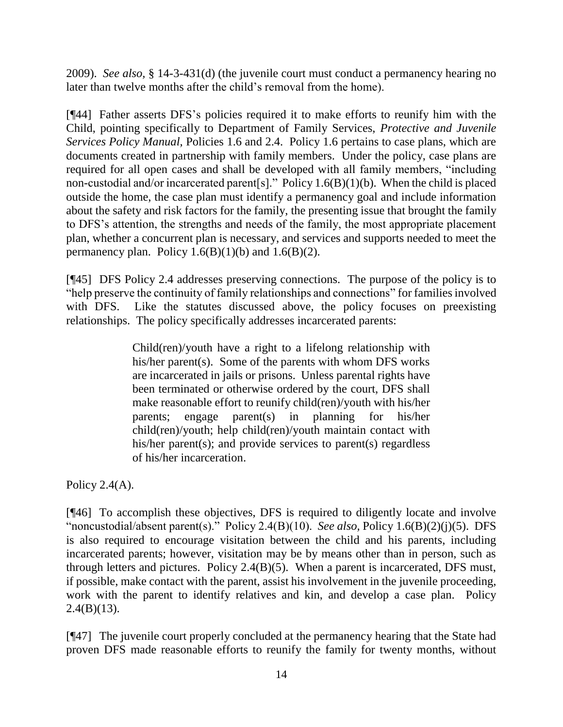2009). *See also,* § 14-3-431(d) (the juvenile court must conduct a permanency hearing no later than twelve months after the child's removal from the home).

[¶44] Father asserts DFS's policies required it to make efforts to reunify him with the Child, pointing specifically to Department of Family Services, *Protective and Juvenile Services Policy Manual,* Policies 1.6 and 2.4. Policy 1.6 pertains to case plans, which are documents created in partnership with family members. Under the policy, case plans are required for all open cases and shall be developed with all family members, "including non-custodial and/or incarcerated parent[s]." Policy 1.6(B)(1)(b). When the child is placed outside the home, the case plan must identify a permanency goal and include information about the safety and risk factors for the family, the presenting issue that brought the family to DFS's attention, the strengths and needs of the family, the most appropriate placement plan, whether a concurrent plan is necessary, and services and supports needed to meet the permanency plan. Policy  $1.6(B)(1)(b)$  and  $1.6(B)(2)$ .

[¶45] DFS Policy 2.4 addresses preserving connections. The purpose of the policy is to "help preserve the continuity of family relationships and connections" for families involved with DFS. Like the statutes discussed above, the policy focuses on preexisting relationships. The policy specifically addresses incarcerated parents:

> Child(ren)/youth have a right to a lifelong relationship with his/her parent(s). Some of the parents with whom DFS works are incarcerated in jails or prisons. Unless parental rights have been terminated or otherwise ordered by the court, DFS shall make reasonable effort to reunify child(ren)/youth with his/her parents; engage parent(s) in planning for his/her child(ren)/youth; help child(ren)/youth maintain contact with his/her parent(s); and provide services to parent(s) regardless of his/her incarceration.

Policy  $2.4(A)$ .

[¶46] To accomplish these objectives, DFS is required to diligently locate and involve "noncustodial/absent parent(s)." Policy 2.4(B)(10). *See also,* Policy 1.6(B)(2)(j)(5). DFS is also required to encourage visitation between the child and his parents, including incarcerated parents; however, visitation may be by means other than in person, such as through letters and pictures. Policy 2.4(B)(5). When a parent is incarcerated, DFS must, if possible, make contact with the parent, assist his involvement in the juvenile proceeding, work with the parent to identify relatives and kin, and develop a case plan. Policy  $2.4(B)(13)$ .

[¶47] The juvenile court properly concluded at the permanency hearing that the State had proven DFS made reasonable efforts to reunify the family for twenty months, without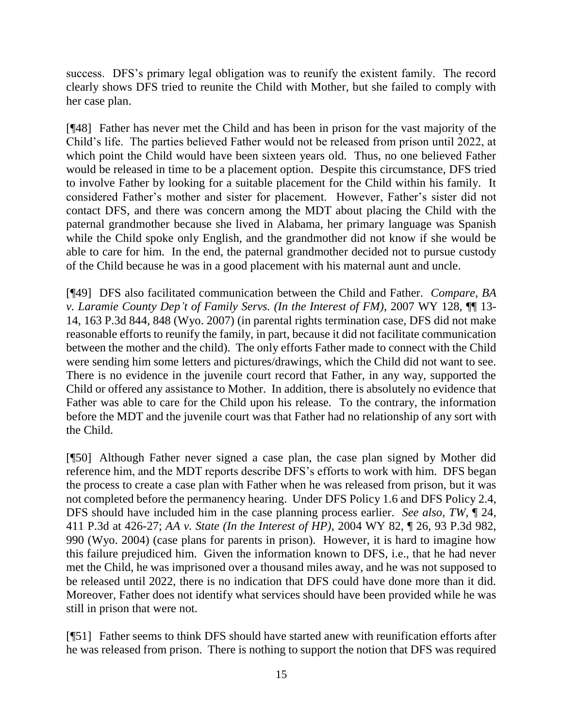success. DFS's primary legal obligation was to reunify the existent family. The record clearly shows DFS tried to reunite the Child with Mother, but she failed to comply with her case plan.

[¶48] Father has never met the Child and has been in prison for the vast majority of the Child's life. The parties believed Father would not be released from prison until 2022, at which point the Child would have been sixteen years old. Thus, no one believed Father would be released in time to be a placement option. Despite this circumstance, DFS tried to involve Father by looking for a suitable placement for the Child within his family. It considered Father's mother and sister for placement. However, Father's sister did not contact DFS, and there was concern among the MDT about placing the Child with the paternal grandmother because she lived in Alabama, her primary language was Spanish while the Child spoke only English, and the grandmother did not know if she would be able to care for him. In the end, the paternal grandmother decided not to pursue custody of the Child because he was in a good placement with his maternal aunt and uncle.

[¶49] DFS also facilitated communication between the Child and Father. *Compare, BA v. Laramie County Dep't of Family Servs. (In the Interest of FM),* 2007 WY 128, ¶¶ 13- 14, 163 P.3d 844, 848 (Wyo. 2007) (in parental rights termination case, DFS did not make reasonable efforts to reunify the family, in part, because it did not facilitate communication between the mother and the child). The only efforts Father made to connect with the Child were sending him some letters and pictures/drawings, which the Child did not want to see. There is no evidence in the juvenile court record that Father, in any way, supported the Child or offered any assistance to Mother. In addition, there is absolutely no evidence that Father was able to care for the Child upon his release. To the contrary, the information before the MDT and the juvenile court was that Father had no relationship of any sort with the Child.

[¶50] Although Father never signed a case plan, the case plan signed by Mother did reference him, and the MDT reports describe DFS's efforts to work with him. DFS began the process to create a case plan with Father when he was released from prison, but it was not completed before the permanency hearing. Under DFS Policy 1.6 and DFS Policy 2.4, DFS should have included him in the case planning process earlier. *See also, TW,* ¶ 24, 411 P.3d at 426-27; *AA v. State (In the Interest of HP)*, 2004 WY 82, ¶ 26, 93 P.3d 982, 990 (Wyo. 2004) (case plans for parents in prison). However, it is hard to imagine how this failure prejudiced him. Given the information known to DFS, i.e., that he had never met the Child, he was imprisoned over a thousand miles away, and he was not supposed to be released until 2022, there is no indication that DFS could have done more than it did. Moreover, Father does not identify what services should have been provided while he was still in prison that were not.

[¶51] Father seems to think DFS should have started anew with reunification efforts after he was released from prison. There is nothing to support the notion that DFS was required